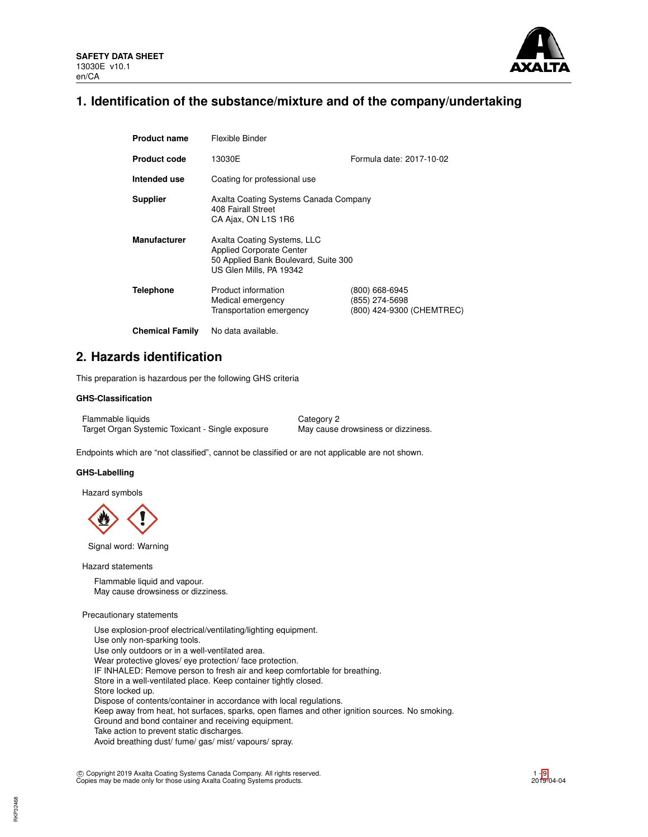

# **1. Identification of the substance/mixture and of the company/undertaking**

| <b>Product name</b>    | Flexible Binder                                                                                                                   |                                                               |  |
|------------------------|-----------------------------------------------------------------------------------------------------------------------------------|---------------------------------------------------------------|--|
| <b>Product code</b>    | 13030E                                                                                                                            | Formula date: 2017-10-02                                      |  |
| Intended use           | Coating for professional use                                                                                                      |                                                               |  |
| <b>Supplier</b>        | Axalta Coating Systems Canada Company<br>408 Fairall Street<br>CA Ajax, ON L1S 1R6                                                |                                                               |  |
| <b>Manufacturer</b>    | Axalta Coating Systems, LLC<br><b>Applied Corporate Center</b><br>50 Applied Bank Boulevard, Suite 300<br>US Glen Mills, PA 19342 |                                                               |  |
| <b>Telephone</b>       | Product information<br>Medical emergency<br>Transportation emergency                                                              | (800) 668-6945<br>(855) 274-5698<br>(800) 424-9300 (CHEMTREC) |  |
| <b>Chemical Family</b> | No data available.                                                                                                                |                                                               |  |

# **2. Hazards identification**

This preparation is hazardous per the following GHS criteria

## **GHS-Classification**

Flammable liquids Category 2 Target Organ Systemic Toxicant - Single exposure May cause drowsiness or dizziness.

Endpoints which are "not classified", cannot be classified or are not applicable are not shown.

# **GHS-Labelling**

Hazard symbols



Signal word: Warning

Hazard statements

Flammable liquid and vapour. May cause drowsiness or dizziness.

### Precautionary statements

Use explosion-proof electrical/ventilating/lighting equipment. Use only non-sparking tools. Use only outdoors or in a well-ventilated area. Wear protective gloves/ eye protection/ face protection. IF INHALED: Remove person to fresh air and keep comfortable for breathing. Store in a well-ventilated place. Keep container tightly closed. Store locked up. Dispose of contents/container in accordance with local regulations. Keep away from heat, hot surfaces, sparks, open flames and other ignition sources. No smoking. Ground and bond container and receiving equipment. Take action to prevent static discharges. Avoid breathing dust/ fume/ gas/ mist/ vapours/ spray.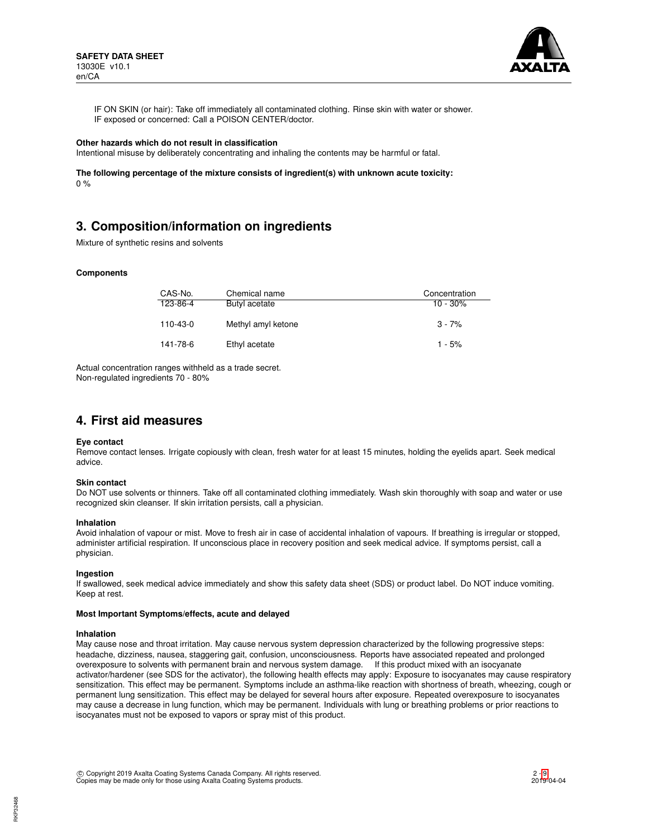

IF ON SKIN (or hair): Take off immediately all contaminated clothing. Rinse skin with water or shower. IF exposed or concerned: Call a POISON CENTER/doctor.

#### **Other hazards which do not result in classification**

Intentional misuse by deliberately concentrating and inhaling the contents may be harmful or fatal.

**The following percentage of the mixture consists of ingredient(s) with unknown acute toxicity:**  $0 %$ 

# **3. Composition/information on ingredients**

Mixture of synthetic resins and solvents

#### **Components**

| CAS-No.  | Chemical name      | Concentration |
|----------|--------------------|---------------|
| 123-86-4 | Butyl acetate      | $10 - 30\%$   |
| 110-43-0 | Methyl amyl ketone | $3 - 7%$      |
| 141-78-6 | Ethyl acetate      | $1 - 5%$      |

Actual concentration ranges withheld as a trade secret. Non-regulated ingredients 70 - 80%

# **4. First aid measures**

#### **Eye contact**

Remove contact lenses. Irrigate copiously with clean, fresh water for at least 15 minutes, holding the eyelids apart. Seek medical advice.

#### **Skin contact**

Do NOT use solvents or thinners. Take off all contaminated clothing immediately. Wash skin thoroughly with soap and water or use recognized skin cleanser. If skin irritation persists, call a physician.

#### **Inhalation**

Avoid inhalation of vapour or mist. Move to fresh air in case of accidental inhalation of vapours. If breathing is irregular or stopped, administer artificial respiration. If unconscious place in recovery position and seek medical advice. If symptoms persist, call a physician.

#### **Ingestion**

If swallowed, seek medical advice immediately and show this safety data sheet (SDS) or product label. Do NOT induce vomiting. Keep at rest.

#### **Most Important Symptoms/effects, acute and delayed**

#### **Inhalation**

May cause nose and throat irritation. May cause nervous system depression characterized by the following progressive steps: headache, dizziness, nausea, staggering gait, confusion, unconsciousness. Reports have associated repeated and prolonged overexposure to solvents with permanent brain and nervous system damage. If this product mixed with an isocyanate activator/hardener (see SDS for the activator), the following health effects may apply: Exposure to isocyanates may cause respiratory sensitization. This effect may be permanent. Symptoms include an asthma-like reaction with shortness of breath, wheezing, cough or permanent lung sensitization. This effect may be delayed for several hours after exposure. Repeated overexposure to isocyanates may cause a decrease in lung function, which may be permanent. Individuals with lung or breathing problems or prior reactions to isocyanates must not be exposed to vapors or spray mist of this product.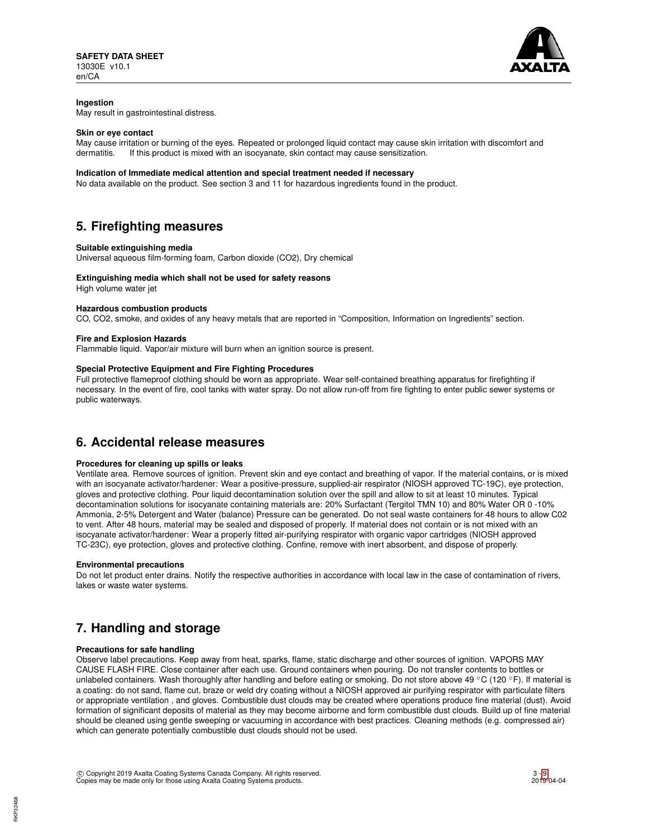

## **Ingestion**

May result in gastrointestinal distress.

### **Skin or eye contact**

May cause irritation or burning of the eyes. Repeated or prolonged liquid contact may cause skin irritation with discomfort and dermatitis. If this product is mixed with an isocyanate, skin contact may cause sensitization.

#### **Indication of Immediate medical attention and special treatment needed if necessary**

No data available on the product. See section 3 and 11 for hazardous ingredients found in the product.

# **5. Firefighting measures**

### **Suitable extinguishing media**

Universal aqueous film-forming foam, Carbon dioxide (CO2), Dry chemical

## **Extinguishing media which shall not be used for safety reasons**

High volume water jet

### **Hazardous combustion products**

CO, CO2, smoke, and oxides of any heavy metals that are reported in "Composition, Information on Ingredients" section.

### **Fire and Explosion Hazards**

Flammable liquid. Vapor/air mixture will burn when an ignition source is present.

# **Special Protective Equipment and Fire Fighting Procedures**

Full protective flameproof clothing should be worn as appropriate. Wear self-contained breathing apparatus for firefighting if necessary. In the event of fire, cool tanks with water spray. Do not allow run-off from fire fighting to enter public sewer systems or public waterways.

# **6. Accidental release measures**

## **Procedures for cleaning up spills or leaks**

Ventilate area. Remove sources of ignition. Prevent skin and eye contact and breathing of vapor. If the material contains, or is mixed with an isocyanate activator/hardener: Wear a positive-pressure, supplied-air respirator (NIOSH approved TC-19C), eye protection, gloves and protective clothing. Pour liquid decontamination solution over the spill and allow to sit at least 10 minutes. Typical decontamination solutions for isocyanate containing materials are: 20% Surfactant (Tergitol TMN 10) and 80% Water OR 0 -10% Ammonia, 2-5% Detergent and Water (balance) Pressure can be generated. Do not seal waste containers for 48 hours to allow C02 to vent. After 48 hours, material may be sealed and disposed of properly. If material does not contain or is not mixed with an isocyanate activator/hardener: Wear a properly fitted air-purifying respirator with organic vapor cartridges (NIOSH approved TC-23C), eye protection, gloves and protective clothing. Confine, remove with inert absorbent, and dispose of properly.

#### **Environmental precautions**

Do not let product enter drains. Notify the respective authorities in accordance with local law in the case of contamination of rivers, lakes or waste water systems.

# **7. Handling and storage**

## **Precautions for safe handling**

Observe label precautions. Keep away from heat, sparks, flame, static discharge and other sources of ignition. VAPORS MAY CAUSE FLASH FIRE. Close container after each use. Ground containers when pouring. Do not transfer contents to bottles or unlabeled containers. Wash thoroughly after handling and before eating or smoking. Do not store above 49 °C (120 °F). If material is a coating: do not sand, flame cut, braze or weld dry coating without a NIOSH approved air purifying respirator with particulate filters or appropriate ventilation , and gloves. Combustible dust clouds may be created where operations produce fine material (dust). Avoid formation of significant deposits of material as they may become airborne and form combustible dust clouds. Build up of fine material should be cleaned using gentle sweeping or vacuuming in accordance with best practices. Cleaning methods (e.g. compressed air) which can generate potentially combustible dust clouds should not be used.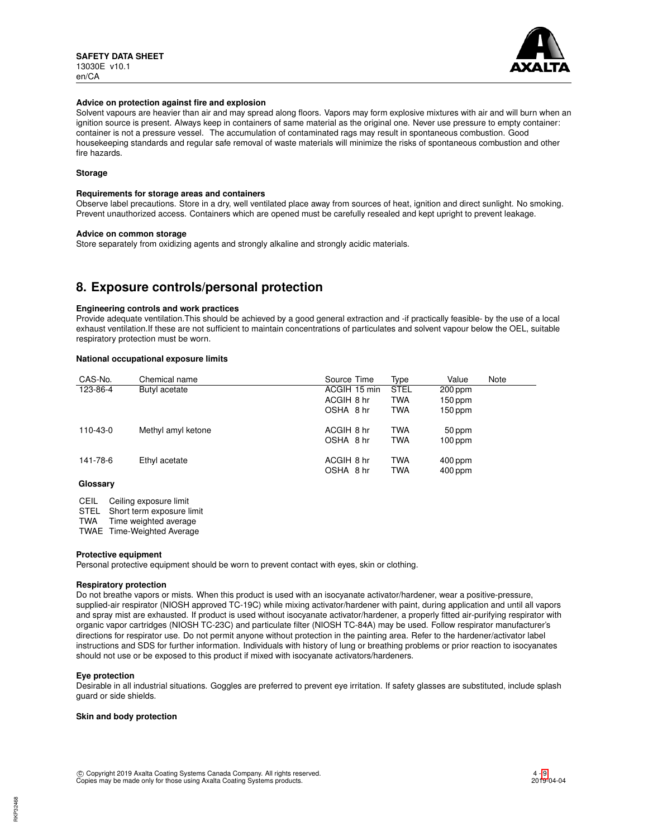

#### **Advice on protection against fire and explosion**

Solvent vapours are heavier than air and may spread along floors. Vapors may form explosive mixtures with air and will burn when an ignition source is present. Always keep in containers of same material as the original one. Never use pressure to empty container: container is not a pressure vessel. The accumulation of contaminated rags may result in spontaneous combustion. Good housekeeping standards and regular safe removal of waste materials will minimize the risks of spontaneous combustion and other fire hazards.

# **Storage**

#### **Requirements for storage areas and containers**

Observe label precautions. Store in a dry, well ventilated place away from sources of heat, ignition and direct sunlight. No smoking. Prevent unauthorized access. Containers which are opened must be carefully resealed and kept upright to prevent leakage.

#### **Advice on common storage**

Store separately from oxidizing agents and strongly alkaline and strongly acidic materials.

# **8. Exposure controls/personal protection**

### **Engineering controls and work practices**

Provide adequate ventilation.This should be achieved by a good general extraction and -if practically feasible- by the use of a local exhaust ventilation.If these are not sufficient to maintain concentrations of particulates and solvent vapour below the OEL, suitable respiratory protection must be worn.

### **National occupational exposure limits**

| CAS-No.  | Chemical name      | Source Time  | Type        | Value     | Note |
|----------|--------------------|--------------|-------------|-----------|------|
| 123-86-4 | Butyl acetate      | ACGIH 15 min | <b>STEL</b> | 200 ppm   |      |
|          |                    | ACGIH 8 hr   | <b>TWA</b>  | $150$ ppm |      |
|          |                    | OSHA 8 hr    | <b>TWA</b>  | $150$ ppm |      |
| 110-43-0 | Methyl amyl ketone | ACGIH 8 hr   | <b>TWA</b>  | 50 ppm    |      |
|          |                    | OSHA 8 hr    | <b>TWA</b>  | $100$ ppm |      |
| 141-78-6 | Ethyl acetate      | ACGIH 8 hr   | <b>TWA</b>  | $400$ ppm |      |
|          |                    | OSHA 8 hr    | <b>TWA</b>  | 400 ppm   |      |
| Glossary |                    |              |             |           |      |

CEIL Ceiling exposure limit

STEL Short term exposure limit<br>TWA Time weighted average

Time weighted average

TWAE Time-Weighted Average

#### **Protective equipment**

Personal protective equipment should be worn to prevent contact with eyes, skin or clothing.

#### **Respiratory protection**

Do not breathe vapors or mists. When this product is used with an isocyanate activator/hardener, wear a positive-pressure, supplied-air respirator (NIOSH approved TC-19C) while mixing activator/hardener with paint, during application and until all vapors and spray mist are exhausted. If product is used without isocyanate activator/hardener, a properly fitted air-purifying respirator with organic vapor cartridges (NIOSH TC-23C) and particulate filter (NIOSH TC-84A) may be used. Follow respirator manufacturer's directions for respirator use. Do not permit anyone without protection in the painting area. Refer to the hardener/activator label instructions and SDS for further information. Individuals with history of lung or breathing problems or prior reaction to isocyanates should not use or be exposed to this product if mixed with isocyanate activators/hardeners.

#### **Eye protection**

Desirable in all industrial situations. Goggles are preferred to prevent eye irritation. If safety glasses are substituted, include splash guard or side shields.

#### **Skin and body protection**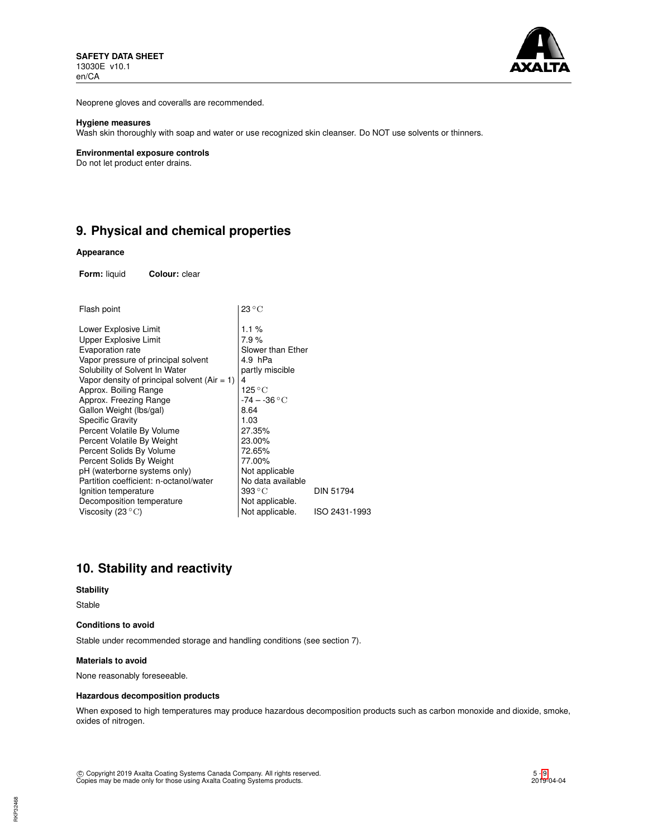

Neoprene gloves and coveralls are recommended.

### **Hygiene measures**

Wash skin thoroughly with soap and water or use recognized skin cleanser. Do NOT use solvents or thinners.

#### **Environmental exposure controls**

Do not let product enter drains.

# **9. Physical and chemical properties**

#### **Appearance**

**Form:** liquid **Colour:** clear

| Flash point                                  | $23^{\circ}$ C            |                  |
|----------------------------------------------|---------------------------|------------------|
| Lower Explosive Limit                        | 1.1%                      |                  |
| Upper Explosive Limit                        | 7.9%                      |                  |
| Evaporation rate                             | Slower than Ether         |                  |
| Vapor pressure of principal solvent          | 4.9 hPa                   |                  |
| Solubility of Solvent In Water               | partly miscible           |                  |
| Vapor density of principal solvent (Air = 1) | 4                         |                  |
| Approx. Boiling Range                        | $125\,^{\circ}\mathrm{C}$ |                  |
| Approx. Freezing Range                       | $-74 - -36$ °C            |                  |
| Gallon Weight (Ibs/gal)                      | 8.64                      |                  |
| Specific Gravity                             | 1.03                      |                  |
| Percent Volatile By Volume                   | 27.35%                    |                  |
| Percent Volatile By Weight                   | 23.00%                    |                  |
| Percent Solids By Volume                     | 72.65%                    |                  |
| Percent Solids By Weight                     | 77.00%                    |                  |
| pH (waterborne systems only)                 | Not applicable            |                  |
| Partition coefficient: n-octanol/water       | No data available         |                  |
| Ignition temperature                         | $393\,^{\circ}\mathrm{C}$ | <b>DIN 51794</b> |
| Decomposition temperature                    | Not applicable.           |                  |
| Viscosity (23 $^{\circ}$ C)                  | Not applicable.           | ISO 2431-1993    |
|                                              |                           |                  |

# **10. Stability and reactivity**

### **Stability**

Stable

### **Conditions to avoid**

Stable under recommended storage and handling conditions (see section 7).

# **Materials to avoid**

None reasonably foreseeable.

# **Hazardous decomposition products**

When exposed to high temperatures may produce hazardous decomposition products such as carbon monoxide and dioxide, smoke, oxides of nitrogen.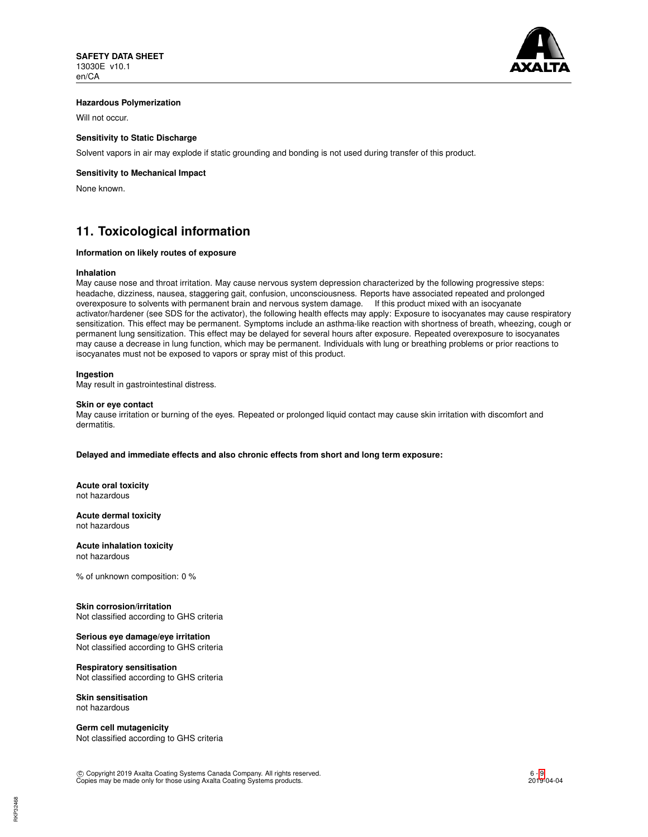

## **Hazardous Polymerization**

Will not occur.

# **Sensitivity to Static Discharge**

Solvent vapors in air may explode if static grounding and bonding is not used during transfer of this product.

# **Sensitivity to Mechanical Impact**

None known.

# **11. Toxicological information**

# **Information on likely routes of exposure**

#### **Inhalation**

May cause nose and throat irritation. May cause nervous system depression characterized by the following progressive steps: headache, dizziness, nausea, staggering gait, confusion, unconsciousness. Reports have associated repeated and prolonged overexposure to solvents with permanent brain and nervous system damage. If this product mixed with an isocyanate activator/hardener (see SDS for the activator), the following health effects may apply: Exposure to isocyanates may cause respiratory sensitization. This effect may be permanent. Symptoms include an asthma-like reaction with shortness of breath, wheezing, cough or permanent lung sensitization. This effect may be delayed for several hours after exposure. Repeated overexposure to isocyanates may cause a decrease in lung function, which may be permanent. Individuals with lung or breathing problems or prior reactions to isocyanates must not be exposed to vapors or spray mist of this product.

### **Ingestion**

May result in gastrointestinal distress.

#### **Skin or eye contact**

May cause irritation or burning of the eyes. Repeated or prolonged liquid contact may cause skin irritation with discomfort and dermatitis.

**Delayed and immediate effects and also chronic effects from short and long term exposure:**

**Acute oral toxicity** not hazardous

**Acute dermal toxicity** not hazardous

**Acute inhalation toxicity** not hazardous

% of unknown composition: 0 %

## **Skin corrosion/irritation**

Not classified according to GHS criteria

## **Serious eye damage/eye irritation**

Not classified according to GHS criteria

### **Respiratory sensitisation**

Not classified according to GHS criteria

#### **Skin sensitisation** not hazardous

**Germ cell mutagenicity** Not classified according to GHS criteria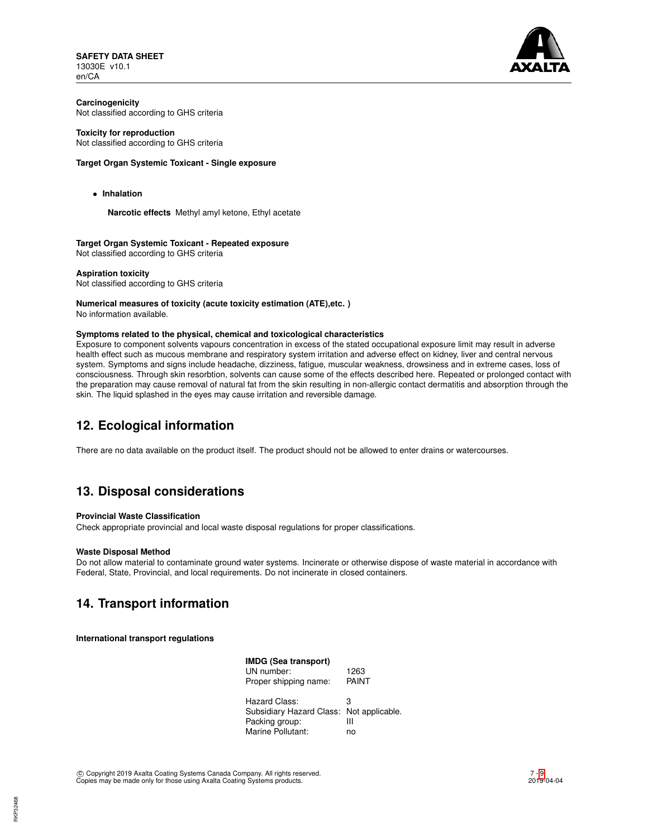**SAFETY DATA SHEET** 13030E v10.1 en/CA



**Carcinogenicity** Not classified according to GHS criteria

### **Toxicity for reproduction**

Not classified according to GHS criteria

### **Target Organ Systemic Toxicant - Single exposure**

• **Inhalation**

**Narcotic effects** Methyl amyl ketone, Ethyl acetate

**Target Organ Systemic Toxicant - Repeated exposure** Not classified according to GHS criteria

**Aspiration toxicity** Not classified according to GHS criteria

# **Numerical measures of toxicity (acute toxicity estimation (ATE),etc. )**

No information available.

### **Symptoms related to the physical, chemical and toxicological characteristics**

Exposure to component solvents vapours concentration in excess of the stated occupational exposure limit may result in adverse health effect such as mucous membrane and respiratory system irritation and adverse effect on kidney, liver and central nervous system. Symptoms and signs include headache, dizziness, fatigue, muscular weakness, drowsiness and in extreme cases, loss of consciousness. Through skin resorbtion, solvents can cause some of the effects described here. Repeated or prolonged contact with the preparation may cause removal of natural fat from the skin resulting in non-allergic contact dermatitis and absorption through the skin. The liquid splashed in the eyes may cause irritation and reversible damage.

# **12. Ecological information**

There are no data available on the product itself. The product should not be allowed to enter drains or watercourses.

# **13. Disposal considerations**

## **Provincial Waste Classification**

Check appropriate provincial and local waste disposal regulations for proper classifications.

#### **Waste Disposal Method**

Do not allow material to contaminate ground water systems. Incinerate or otherwise dispose of waste material in accordance with Federal, State, Provincial, and local requirements. Do not incinerate in closed containers.

# **14. Transport information**

**International transport regulations**

| IMDG (Sea transport)                     |       |
|------------------------------------------|-------|
| UN number:                               | 1263  |
| Proper shipping name:                    | PAINT |
| Hazard Class:                            | з     |
| Subsidiary Hazard Class: Not applicable. |       |
| Packing group:                           | Ш     |
| Marine Pollutant:                        | no    |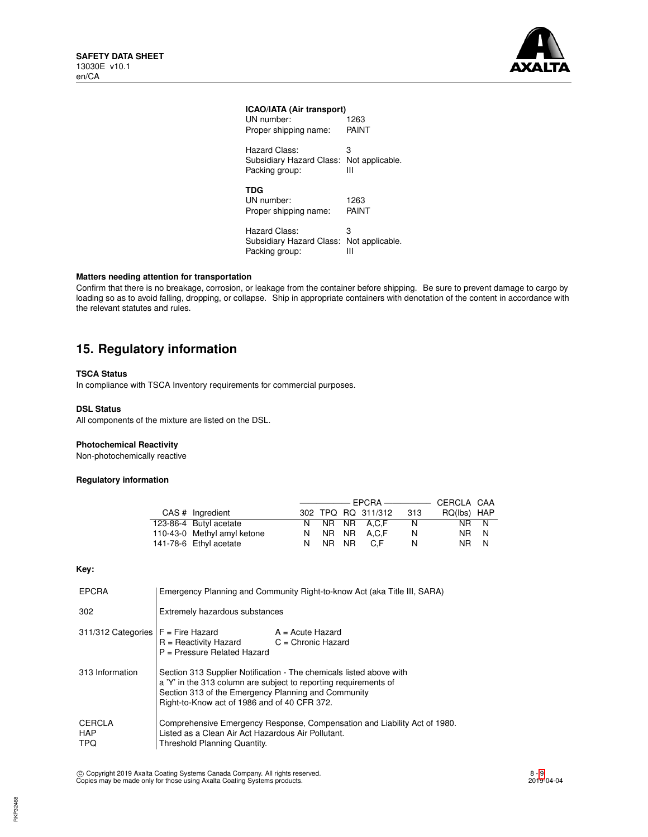

# **ICAO/IATA (Air transport)**

| UN number:<br>Proper shipping name:                                         | 1263<br>PAINT        |
|-----------------------------------------------------------------------------|----------------------|
| Hazard Class:<br>Subsidiary Hazard Class: Not applicable.<br>Packing group: | з<br>Ш               |
| <b>TDG</b><br>UN number:<br>Proper shipping name:                           | 1263<br>PAINT        |
| Hazard Class:<br>Subsidiary Hazard Class:<br>Packing group:                 | 3<br>Not applicable. |

# **Matters needing attention for transportation**

Confirm that there is no breakage, corrosion, or leakage from the container before shipping. Be sure to prevent damage to cargo by loading so as to avoid falling, dropping, or collapse. Ship in appropriate containers with denotation of the content in accordance with the relevant statutes and rules.

# **15. Regulatory information**

## **TSCA Status**

In compliance with TSCA Inventory requirements for commercial purposes.

### **DSL Status**

All components of the mixture are listed on the DSL.

# **Photochemical Reactivity**

Non-photochemically reactive

# **Regulatory information**

| CAS # Ingredient            |    |       | 302 TPQ RQ 311/312 | - 313 | RQ(lbs) HAP |   |
|-----------------------------|----|-------|--------------------|-------|-------------|---|
| 123-86-4 Butyl acetate      |    |       | N NR NR A.C.F      | N     | NR N        |   |
| 110-43-0 Methyl amyl ketone |    |       | N NR NR A.C.F      | N     | NR N        |   |
| 141-78-6 Ethyl acetate      | N. | NR NR | C.F                | N     | NR I        | N |

### **Key:**

| <b>EPCRA</b>                              | Emergency Planning and Community Right-to-know Act (aka Title III, SARA)                                                                                                                                                                       |  |  |
|-------------------------------------------|------------------------------------------------------------------------------------------------------------------------------------------------------------------------------------------------------------------------------------------------|--|--|
| 302                                       | Extremely hazardous substances                                                                                                                                                                                                                 |  |  |
| $311/312$ Categories $F =$ Fire Hazard    | $A = Acute$ Hazard<br>$R =$ Reactivity Hazard<br>$C =$ Chronic Hazard<br>$P =$ Pressure Related Hazard                                                                                                                                         |  |  |
| 313 Information                           | Section 313 Supplier Notification - The chemicals listed above with<br>a 'Y' in the 313 column are subject to reporting requirements of<br>Section 313 of the Emergency Planning and Community<br>Right-to-Know act of 1986 and of 40 CFR 372. |  |  |
| <b>CERCLA</b><br><b>HAP</b><br><b>TPQ</b> | Comprehensive Emergency Response, Compensation and Liability Act of 1980.<br>Listed as a Clean Air Act Hazardous Air Pollutant.<br>Threshold Planning Quantity.                                                                                |  |  |